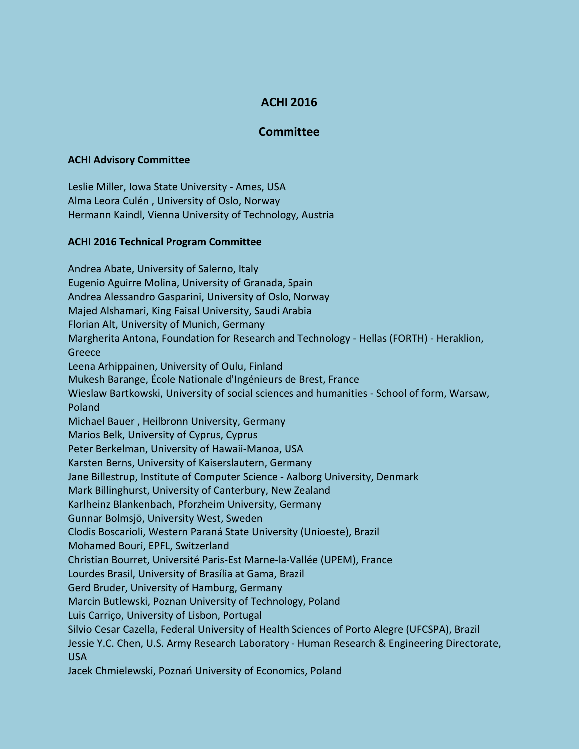## **ACHI 2016**

## **Committee**

## **ACHI Advisory Committee**

Leslie Miller, Iowa State University - Ames, USA Alma Leora Culén , University of Oslo, Norway Hermann Kaindl, Vienna University of Technology, Austria

## **ACHI 2016 Technical Program Committee**

Andrea Abate, University of Salerno, Italy Eugenio Aguirre Molina, University of Granada, Spain Andrea Alessandro Gasparini, University of Oslo, Norway Majed Alshamari, King Faisal University, Saudi Arabia Florian Alt, University of Munich, Germany Margherita Antona, Foundation for Research and Technology - Hellas (FORTH) - Heraklion, Greece Leena Arhippainen, University of Oulu, Finland Mukesh Barange, École Nationale d'Ingénieurs de Brest, France Wieslaw Bartkowski, University of social sciences and humanities - School of form, Warsaw, Poland Michael Bauer , Heilbronn University, Germany Marios Belk, University of Cyprus, Cyprus Peter Berkelman, University of Hawaii-Manoa, USA Karsten Berns, University of Kaiserslautern, Germany Jane Billestrup, Institute of Computer Science - Aalborg University, Denmark Mark Billinghurst, University of Canterbury, New Zealand Karlheinz Blankenbach, Pforzheim University, Germany Gunnar Bolmsjö, University West, Sweden Clodis Boscarioli, Western Paraná State University (Unioeste), Brazil Mohamed Bouri, EPFL, Switzerland Christian Bourret, Université Paris-Est Marne-la-Vallée (UPEM), France Lourdes Brasil, University of Brasília at Gama, Brazil Gerd Bruder, University of Hamburg, Germany Marcin Butlewski, Poznan University of Technology, Poland Luis Carriço, University of Lisbon, Portugal Silvio Cesar Cazella, Federal University of Health Sciences of Porto Alegre (UFCSPA), Brazil Jessie Y.C. Chen, U.S. Army Research Laboratory - Human Research & Engineering Directorate, USA Jacek Chmielewski, Poznań University of Economics, Poland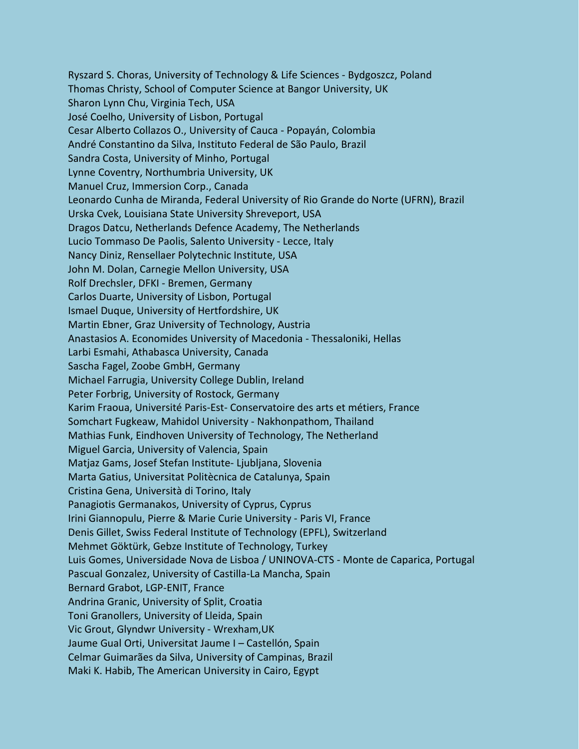Ryszard S. Choras, University of Technology & Life Sciences - Bydgoszcz, Poland Thomas Christy, School of Computer Science at Bangor University, UK Sharon Lynn Chu, Virginia Tech, USA José Coelho, University of Lisbon, Portugal Cesar Alberto Collazos O., University of Cauca - Popayán, Colombia André Constantino da Silva, Instituto Federal de São Paulo, Brazil Sandra Costa, University of Minho, Portugal Lynne Coventry, Northumbria University, UK Manuel Cruz, Immersion Corp., Canada Leonardo Cunha de Miranda, Federal University of Rio Grande do Norte (UFRN), Brazil Urska Cvek, Louisiana State University Shreveport, USA Dragos Datcu, Netherlands Defence Academy, The Netherlands Lucio Tommaso De Paolis, Salento University - Lecce, Italy Nancy Diniz, Rensellaer Polytechnic Institute, USA John M. Dolan, Carnegie Mellon University, USA Rolf Drechsler, DFKI - Bremen, Germany Carlos Duarte, University of Lisbon, Portugal Ismael Duque, University of Hertfordshire, UK Martin Ebner, Graz University of Technology, Austria Anastasios A. Economides University of Macedonia - Thessaloniki, Hellas Larbi Esmahi, Athabasca University, Canada Sascha Fagel, Zoobe GmbH, Germany Michael Farrugia, University College Dublin, Ireland Peter Forbrig, University of Rostock, Germany Karim Fraoua, Université Paris-Est- Conservatoire des arts et métiers, France Somchart Fugkeaw, Mahidol University - Nakhonpathom, Thailand Mathias Funk, Eindhoven University of Technology, The Netherland Miguel Garcia, University of Valencia, Spain Matjaz Gams, Josef Stefan Institute- Ljubljana, Slovenia Marta Gatius, Universitat Politècnica de Catalunya, Spain Cristina Gena, Università di Torino, Italy Panagiotis Germanakos, University of Cyprus, Cyprus Irini Giannopulu, Pierre & Marie Curie University - Paris VI, France Denis Gillet, Swiss Federal Institute of Technology (EPFL), Switzerland Mehmet Göktürk, Gebze Institute of Technology, Turkey Luis Gomes, Universidade Nova de Lisboa / UNINOVA-CTS - Monte de Caparica, Portugal Pascual Gonzalez, University of Castilla-La Mancha, Spain Bernard Grabot, LGP-ENIT, France Andrina Granic, University of Split, Croatia Toni Granollers, University of Lleida, Spain Vic Grout, Glyndwr University - Wrexham,UK Jaume Gual Orti, Universitat Jaume I – Castellón, Spain Celmar Guimarães da Silva, University of Campinas, Brazil Maki K. Habib, The American University in Cairo, Egypt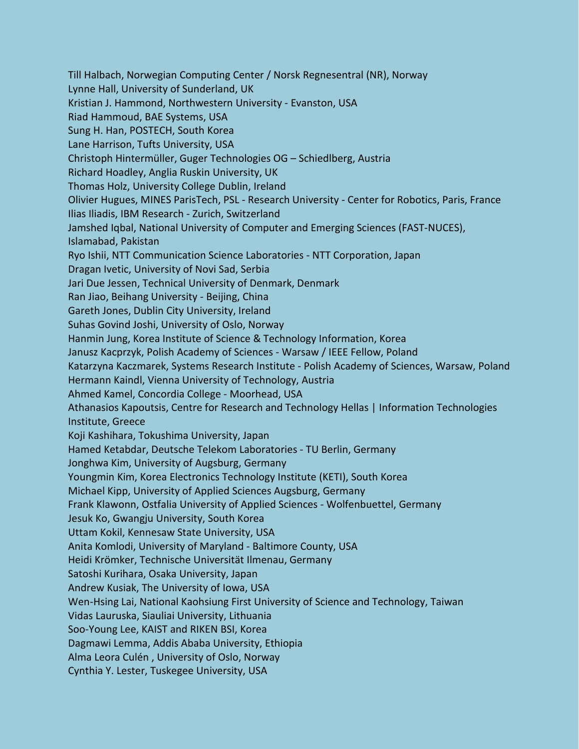Till Halbach, Norwegian Computing Center / Norsk Regnesentral (NR), Norway Lynne Hall, University of Sunderland, UK Kristian J. Hammond, Northwestern University - Evanston, USA Riad Hammoud, BAE Systems, USA Sung H. Han, POSTECH, South Korea Lane Harrison, Tufts University, USA Christoph Hintermüller, Guger Technologies OG – Schiedlberg, Austria Richard Hoadley, Anglia Ruskin University, UK Thomas Holz, University College Dublin, Ireland Olivier Hugues, MINES ParisTech, PSL - Research University - Center for Robotics, Paris, France Ilias Iliadis, IBM Research - Zurich, Switzerland Jamshed Iqbal, National University of Computer and Emerging Sciences (FAST-NUCES), Islamabad, Pakistan Ryo Ishii, NTT Communication Science Laboratories - NTT Corporation, Japan Dragan Ivetic, University of Novi Sad, Serbia Jari Due Jessen, Technical University of Denmark, Denmark Ran Jiao, Beihang University - Beijing, China Gareth Jones, Dublin City University, Ireland Suhas Govind Joshi, University of Oslo, Norway Hanmin Jung, Korea Institute of Science & Technology Information, Korea Janusz Kacprzyk, Polish Academy of Sciences - Warsaw / IEEE Fellow, Poland Katarzyna Kaczmarek, Systems Research Institute - Polish Academy of Sciences, Warsaw, Poland Hermann Kaindl, Vienna University of Technology, Austria Ahmed Kamel, Concordia College - Moorhead, USA Athanasios Kapoutsis, Centre for Research and Technology Hellas | Information Technologies Institute, Greece Koji Kashihara, Tokushima University, Japan Hamed Ketabdar, Deutsche Telekom Laboratories - TU Berlin, Germany Jonghwa Kim, University of Augsburg, Germany Youngmin Kim, Korea Electronics Technology Institute (KETI), South Korea Michael Kipp, University of Applied Sciences Augsburg, Germany Frank Klawonn, Ostfalia University of Applied Sciences - Wolfenbuettel, Germany Jesuk Ko, Gwangju University, South Korea Uttam Kokil, Kennesaw State University, USA Anita Komlodi, University of Maryland - Baltimore County, USA Heidi Krömker, Technische Universität Ilmenau, Germany Satoshi Kurihara, Osaka University, Japan Andrew Kusiak, The University of Iowa, USA Wen-Hsing Lai, National Kaohsiung First University of Science and Technology, Taiwan Vidas Lauruska, Siauliai University, Lithuania Soo-Young Lee, KAIST and RIKEN BSI, Korea Dagmawi Lemma, Addis Ababa University, Ethiopia Alma Leora Culén , University of Oslo, Norway Cynthia Y. Lester, Tuskegee University, USA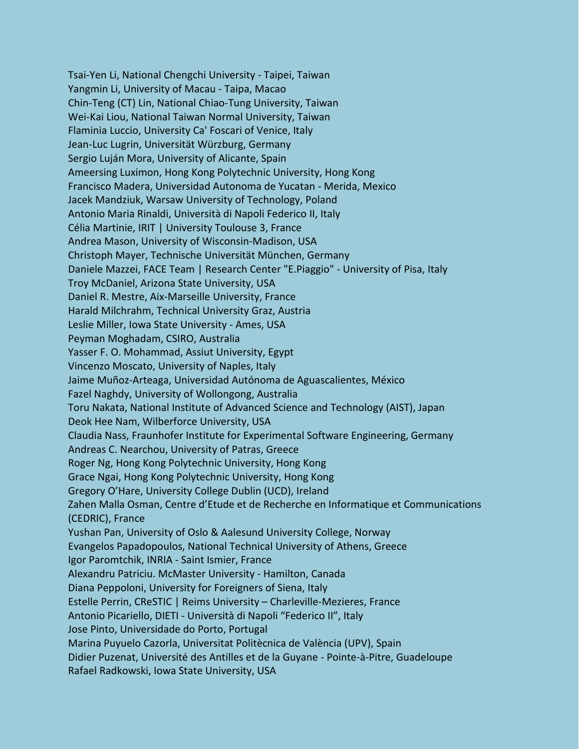Tsai-Yen Li, National Chengchi University - Taipei, Taiwan Yangmin Li, University of Macau - Taipa, Macao Chin-Teng (CT) Lin, National Chiao-Tung University, Taiwan Wei-Kai Liou, National Taiwan Normal University, Taiwan Flaminia Luccio, University Ca' Foscari of Venice, Italy Jean-Luc Lugrin, Universität Würzburg, Germany Sergio Luján Mora, University of Alicante, Spain Ameersing Luximon, Hong Kong Polytechnic University, Hong Kong Francisco Madera, Universidad Autonoma de Yucatan - Merida, Mexico Jacek Mandziuk, Warsaw University of Technology, Poland Antonio Maria Rinaldi, Università di Napoli Federico II, Italy Célia Martinie, IRIT | University Toulouse 3, France Andrea Mason, University of Wisconsin-Madison, USA Christoph Mayer, Technische Universität München, Germany Daniele Mazzei, FACE Team | Research Center "E.Piaggio" - University of Pisa, Italy Troy McDaniel, Arizona State University, USA Daniel R. Mestre, Aix-Marseille University, France Harald Milchrahm, Technical University Graz, Austria Leslie Miller, Iowa State University - Ames, USA Peyman Moghadam, CSIRO, Australia Yasser F. O. Mohammad, Assiut University, Egypt Vincenzo Moscato, University of Naples, Italy Jaime Muñoz-Arteaga, Universidad Autónoma de Aguascalientes, México Fazel Naghdy, University of Wollongong, Australia Toru Nakata, National Institute of Advanced Science and Technology (AIST), Japan Deok Hee Nam, Wilberforce University, USA Claudia Nass, Fraunhofer Institute for Experimental Software Engineering, Germany Andreas C. Nearchou, University of Patras, Greece Roger Ng, Hong Kong Polytechnic University, Hong Kong Grace Ngai, Hong Kong Polytechnic University, Hong Kong Gregory O'Hare, University College Dublin (UCD), Ireland Zahen Malla Osman, Centre d'Etude et de Recherche en Informatique et Communications (CEDRIC), France Yushan Pan, University of Oslo & Aalesund University College, Norway Evangelos Papadopoulos, National Technical University of Athens, Greece Igor Paromtchik, INRIA - Saint Ismier, France Alexandru Patriciu. McMaster University - Hamilton, Canada Diana Peppoloni, University for Foreigners of Siena, Italy Estelle Perrin, CReSTIC | Reims University – Charleville-Mezieres, France Antonio Picariello, DIETI - Università di Napoli "Federico II", Italy Jose Pinto, Universidade do Porto, Portugal Marina Puyuelo Cazorla, Universitat Politècnica de València (UPV), Spain Didier Puzenat, Université des Antilles et de la Guyane - Pointe-à-Pitre, Guadeloupe Rafael Radkowski, Iowa State University, USA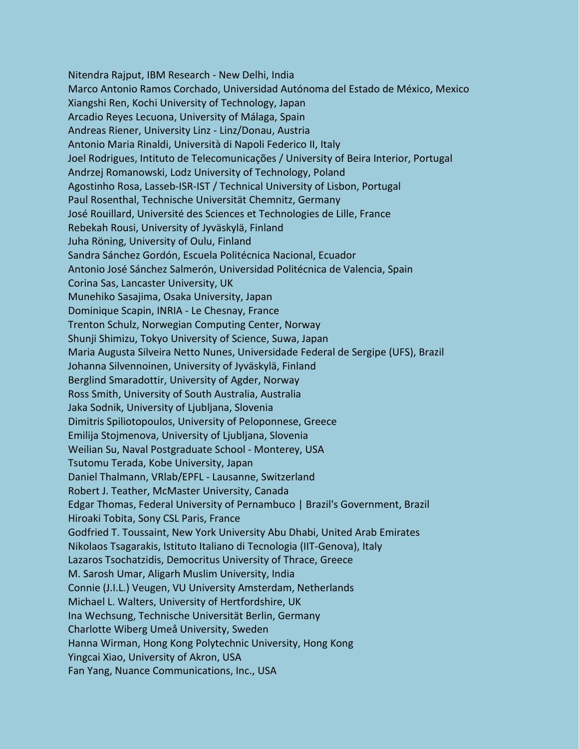Nitendra Rajput, IBM Research - New Delhi, India Marco Antonio Ramos Corchado, Universidad Autónoma del Estado de México, Mexico Xiangshi Ren, Kochi University of Technology, Japan Arcadio Reyes Lecuona, University of Málaga, Spain Andreas Riener, University Linz - Linz/Donau, Austria Antonio Maria Rinaldi, Università di Napoli Federico II, Italy Joel Rodrigues, Intituto de Telecomunicações / University of Beira Interior, Portugal Andrzej Romanowski, Lodz University of Technology, Poland Agostinho Rosa, Lasseb-ISR-IST / Technical University of Lisbon, Portugal Paul Rosenthal, Technische Universität Chemnitz, Germany José Rouillard, Université des Sciences et Technologies de Lille, France Rebekah Rousi, University of Jyväskylä, Finland Juha Röning, University of Oulu, Finland Sandra Sánchez Gordón, Escuela Politécnica Nacional, Ecuador Antonio José Sánchez Salmerón, Universidad Politécnica de Valencia, Spain Corina Sas, Lancaster University, UK Munehiko Sasajima, Osaka University, Japan Dominique Scapin, INRIA - Le Chesnay, France Trenton Schulz, Norwegian Computing Center, Norway Shunji Shimizu, Tokyo University of Science, Suwa, Japan Maria Augusta Silveira Netto Nunes, Universidade Federal de Sergipe (UFS), Brazil Johanna Silvennoinen, University of Jyväskylä, Finland Berglind Smaradottir, University of Agder, Norway Ross Smith, University of South Australia, Australia Jaka Sodnik, University of Ljubljana, Slovenia Dimitris Spiliotopoulos, University of Peloponnese, Greece Emilija Stojmenova, University of Ljubljana, Slovenia Weilian Su, Naval Postgraduate School - Monterey, USA Tsutomu Terada, Kobe University, Japan Daniel Thalmann, VRlab/EPFL - Lausanne, Switzerland Robert J. Teather, McMaster University, Canada Edgar Thomas, Federal University of Pernambuco | Brazil's Government, Brazil Hiroaki Tobita, Sony CSL Paris, France Godfried T. Toussaint, New York University Abu Dhabi, United Arab Emirates Nikolaos Tsagarakis, Istituto Italiano di Tecnologia (IIT-Genova), Italy Lazaros Tsochatzidis, Democritus University of Thrace, Greece M. Sarosh Umar, Aligarh Muslim University, India Connie (J.I.L.) Veugen, VU University Amsterdam, Netherlands Michael L. Walters, University of Hertfordshire, UK Ina Wechsung, Technische Universität Berlin, Germany Charlotte Wiberg Umeå University, Sweden Hanna Wirman, Hong Kong Polytechnic University, Hong Kong Yingcai Xiao, University of Akron, USA Fan Yang, Nuance Communications, Inc., USA